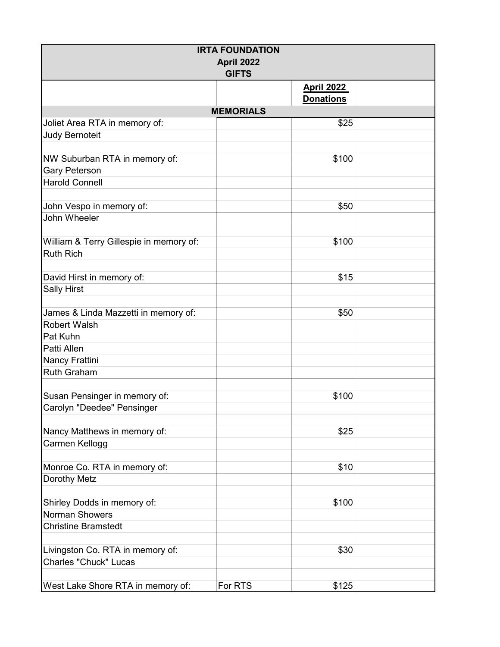| <b>IRTA FOUNDATION</b>                  |                  |                   |  |  |  |
|-----------------------------------------|------------------|-------------------|--|--|--|
| April 2022                              |                  |                   |  |  |  |
| <b>GIFTS</b>                            |                  |                   |  |  |  |
|                                         |                  | <b>April 2022</b> |  |  |  |
|                                         |                  | <b>Donations</b>  |  |  |  |
|                                         | <b>MEMORIALS</b> |                   |  |  |  |
| Joliet Area RTA in memory of:           |                  | \$25              |  |  |  |
| <b>Judy Bernoteit</b>                   |                  |                   |  |  |  |
|                                         |                  |                   |  |  |  |
| NW Suburban RTA in memory of:           |                  | \$100             |  |  |  |
| <b>Gary Peterson</b>                    |                  |                   |  |  |  |
| <b>Harold Connell</b>                   |                  |                   |  |  |  |
|                                         |                  |                   |  |  |  |
| John Vespo in memory of:                |                  | \$50              |  |  |  |
| John Wheeler                            |                  |                   |  |  |  |
|                                         |                  |                   |  |  |  |
| William & Terry Gillespie in memory of: |                  | \$100             |  |  |  |
| <b>Ruth Rich</b>                        |                  |                   |  |  |  |
|                                         |                  |                   |  |  |  |
| David Hirst in memory of:               |                  | \$15              |  |  |  |
| <b>Sally Hirst</b>                      |                  |                   |  |  |  |
|                                         |                  |                   |  |  |  |
| James & Linda Mazzetti in memory of:    |                  | \$50              |  |  |  |
| <b>Robert Walsh</b>                     |                  |                   |  |  |  |
| Pat Kuhn                                |                  |                   |  |  |  |
| Patti Allen                             |                  |                   |  |  |  |
| Nancy Frattini                          |                  |                   |  |  |  |
| <b>Ruth Graham</b>                      |                  |                   |  |  |  |
|                                         |                  |                   |  |  |  |
| Susan Pensinger in memory of:           |                  | \$100             |  |  |  |
| Carolyn "Deedee" Pensinger              |                  |                   |  |  |  |
|                                         |                  |                   |  |  |  |
| Nancy Matthews in memory of:            |                  | \$25              |  |  |  |
| Carmen Kellogg                          |                  |                   |  |  |  |
|                                         |                  |                   |  |  |  |
| Monroe Co. RTA in memory of:            |                  | \$10              |  |  |  |
| Dorothy Metz                            |                  |                   |  |  |  |
|                                         |                  |                   |  |  |  |
| Shirley Dodds in memory of:             |                  | \$100             |  |  |  |
| Norman Showers                          |                  |                   |  |  |  |
| <b>Christine Bramstedt</b>              |                  |                   |  |  |  |
|                                         |                  |                   |  |  |  |
| Livingston Co. RTA in memory of:        |                  | \$30              |  |  |  |
| <b>Charles "Chuck" Lucas</b>            |                  |                   |  |  |  |
|                                         |                  |                   |  |  |  |
| West Lake Shore RTA in memory of:       | For RTS          | \$125             |  |  |  |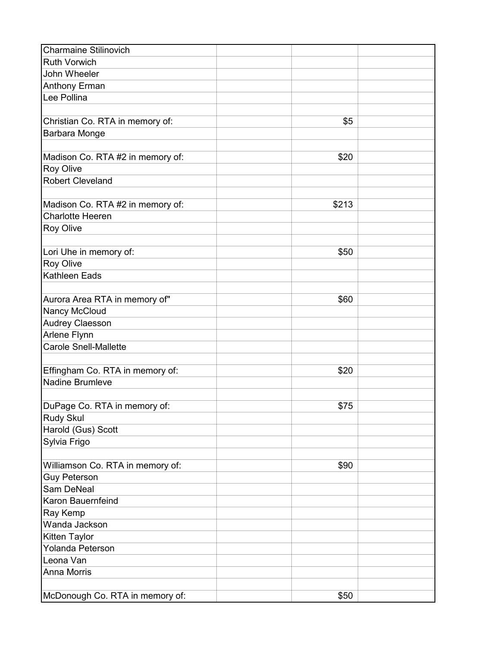| <b>Charmaine Stilinovich</b>     |       |  |
|----------------------------------|-------|--|
| <b>Ruth Vorwich</b>              |       |  |
| John Wheeler                     |       |  |
| <b>Anthony Erman</b>             |       |  |
| Lee Pollina                      |       |  |
|                                  |       |  |
| Christian Co. RTA in memory of:  | \$5   |  |
| Barbara Monge                    |       |  |
|                                  |       |  |
| Madison Co. RTA #2 in memory of: | \$20  |  |
| <b>Roy Olive</b>                 |       |  |
| <b>Robert Cleveland</b>          |       |  |
|                                  |       |  |
| Madison Co. RTA #2 in memory of: | \$213 |  |
| <b>Charlotte Heeren</b>          |       |  |
| <b>Roy Olive</b>                 |       |  |
|                                  |       |  |
| Lori Uhe in memory of:           | \$50  |  |
| <b>Roy Olive</b>                 |       |  |
| <b>Kathleen Eads</b>             |       |  |
|                                  |       |  |
| Aurora Area RTA in memory of"    | \$60  |  |
| Nancy McCloud                    |       |  |
| <b>Audrey Claesson</b>           |       |  |
| Arlene Flynn                     |       |  |
| Carole Snell-Mallette            |       |  |
|                                  |       |  |
| Effingham Co. RTA in memory of:  | \$20  |  |
| <b>Nadine Brumleve</b>           |       |  |
|                                  |       |  |
| DuPage Co. RTA in memory of:     | \$75  |  |
| Rudy Skul                        |       |  |
| Harold (Gus) Scott               |       |  |
| Sylvia Frigo                     |       |  |
|                                  |       |  |
| Williamson Co. RTA in memory of: | \$90  |  |
| <b>Guy Peterson</b>              |       |  |
| Sam DeNeal                       |       |  |
| Karon Bauernfeind                |       |  |
| Ray Kemp                         |       |  |
| Wanda Jackson                    |       |  |
| <b>Kitten Taylor</b>             |       |  |
| Yolanda Peterson                 |       |  |
| Leona Van                        |       |  |
| <b>Anna Morris</b>               |       |  |
|                                  |       |  |
| McDonough Co. RTA in memory of:  | \$50  |  |